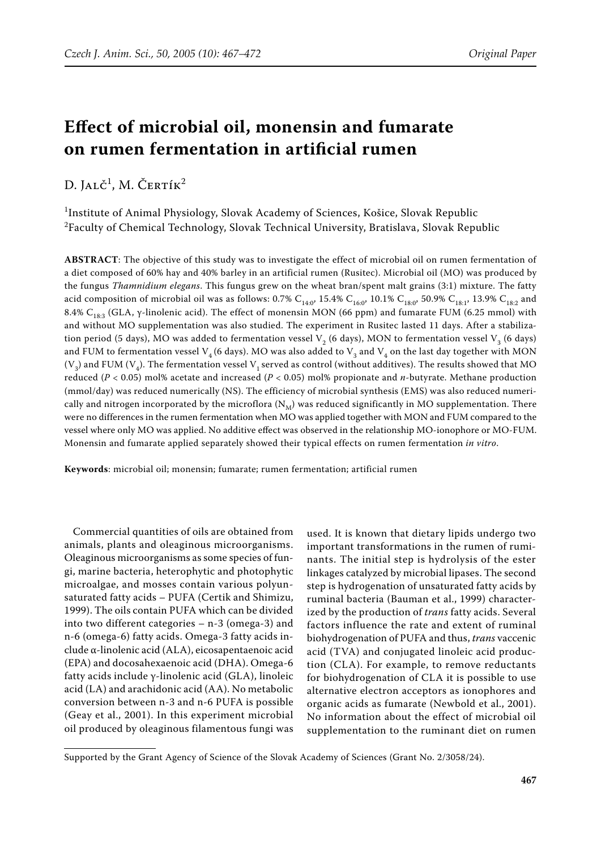# **Effect of microbial oil, monensin and fumarate on rumen fermentation in artificial rumen**

D. Jalč<sup>1</sup>, M. Čertík<sup>2</sup>

1 Institute of Animal Physiology, Slovak Academy of Sciences, Košice, Slovak Republic  $^2$ Faculty of Chemical Technology, Slovak Technical University, Bratislava, Slovak Republic

**ABSTRACT**: The objective of this study was to investigate the effect of microbial oil on rumen fermentation of a diet composed of 60% hay and 40% barley in an artificial rumen (Rusitec). Microbial oil (MO) was produced by the fungus *Thamnidium elegans*. This fungus grew on the wheat bran/spent malt grains (3:1) mixture. The fatty acid composition of microbial oil was as follows: 0.7% C<sub>14:0</sub>, 15.4% C<sub>16:0</sub>, 10.1% C<sub>18:0</sub>, 50.9% C<sub>18:1</sub>, 13.9% C<sub>18:2</sub> and 8.4% C<sub>18:3</sub> (GLA, γ-linolenic acid). The effect of monensin MON (66 ppm) and fumarate FUM (6.25 mmol) with and without MO supplementation was also studied. The experiment in Rusitec lasted 11 days. After a stabilization period (5 days), MO was added to fermentation vessel  $V<sub>2</sub>$  (6 days), MON to fermentation vessel  $V<sub>3</sub>$  (6 days) and FUM to fermentation vessel V<sub>4</sub> (6 days). MO was also added to V<sub>3</sub> and V<sub>4</sub> on the last day together with MON  $(V_3)$  and FUM  $(V_4)$ . The fermentation vessel  $V_1$  served as control (without additives). The results showed that MO reduced (*P* < 0.05) mol% acetate and increased (*P* < 0.05) mol% propionate and *n*-butyrate. Methane production (mmol/day) was reduced numerically (NS). The efficiency of microbial synthesis (EMS) was also reduced numerically and nitrogen incorporated by the microflora  $(N_M)$  was reduced significantly in MO supplementation. There were no differences in the rumen fermentation when MO was applied together with MON and FUM compared to the vessel where only MO was applied. No additive effect was observed in the relationship MO-ionophore or MO-FUM. Monensin and fumarate applied separately showed their typical effects on rumen fermentation *in vitro*.

**Keywords**: microbial oil; monensin; fumarate; rumen fermentation; artificial rumen

Commercial quantities of oils are obtained from animals, plants and oleaginous microorganisms. Oleaginous microorganisms as some species of fungi, marine bacteria, heterophytic and photophytic microalgae, and mosses contain various polyunsaturated fatty acids – PUFA (Certik and Shimizu, 1999). The oils contain PUFA which can be divided into two different categories – n-3 (omega-3) and n-6 (omega-6) fatty acids. Omega-3 fatty acids include α-linolenic acid (ALA), eicosapentaenoic acid (EPA) and docosahexaenoic acid (DHA). Omega-6 fatty acids include γ-linolenic acid (GLA), linoleic acid (LA) and arachidonic acid (AA). No metabolic conversion between n-3 and n-6 PUFA is possible (Geay et al., 2001). In this experiment microbial oil produced by oleaginous filamentous fungi was used. It is known that dietary lipids undergo two important transformations in the rumen of ruminants. The initial step is hydrolysis of the ester linkages catalyzed by microbial lipases. The second step is hydrogenation of unsaturated fatty acids by ruminal bacteria (Bauman et al., 1999) characterized by the production of *trans* fatty acids. Several factors influence the rate and extent of ruminal biohydrogenation of PUFA and thus, *trans* vaccenic acid (TVA) and conjugated linoleic acid production (CLA). For example, to remove reductants for biohydrogenation of CLA it is possible to use alternative electron acceptors as ionophores and organic acids as fumarate (Newbold et al., 2001). No information about the effect of microbial oil supplementation to the ruminant diet on rumen

Supported by the Grant Agency of Science of the Slovak Academy of Sciences (Grant No. 2/3058/24).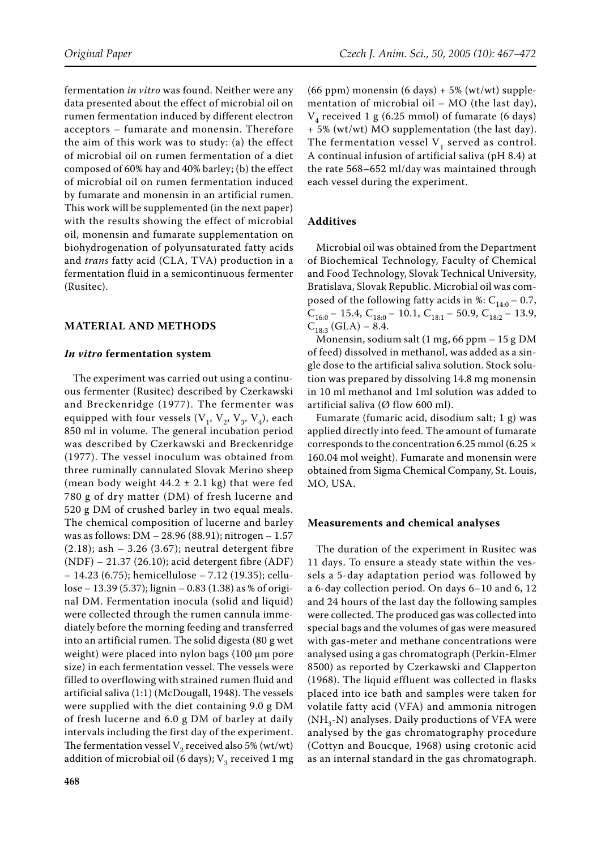fermentation *in vitro* was found. Neither were any data presented about the effect of microbial oil on rumen fermentation induced by different electron acceptors – fumarate and monensin. Therefore the aim of this work was to study: (a) the effect of microbial oil on rumen fermentation of a diet composed of 60% hay and 40% barley; (b) the effect of microbial oil on rumen fermentation induced by fumarate and monensin in an artificial rumen. This work will be supplemented (in the next paper) with the results showing the effect of microbial oil, monensin and fumarate supplementation on biohydrogenation of polyunsaturated fatty acids and *trans* fatty acid (CLA, TVA) production in a fermentation fluid in a semicontinuous fermenter (Rusitec).

### **MATERIAL AND METHODS**

#### *In vitro* **fermentation system**

The experiment was carried out using a continuous fermenter (Rusitec) described by Czerkawski and Breckenridge (1977). The fermenter was equipped with four vessels  $(V_1, V_2, V_3, V_4)$ , each 850 ml in volume. The general incubation period was described by Czerkawski and Breckenridge (1977). The vessel inoculum was obtained from three ruminally cannulated Slovak Merino sheep (mean body weight  $44.2 \pm 2.1$  kg) that were fed 780 g of dry matter (DM) of fresh lucerne and 520 g DM of crushed barley in two equal meals. The chemical composition of lucerne and barley was as follows: DM – 28.96 (88.91); nitrogen – 1.57 (2.18); ash – 3.26 (3.67); neutral detergent fibre (NDF) – 21.37 (26.10); acid detergent fibre (ADF) – 14.23 (6.75); hemicellulose – 7.12 (19.35); cellulose – 13.39 (5.37); lignin – 0.83 (1.38) as % of original DM. Fermentation inocula (solid and liquid) were collected through the rumen cannula immediately before the morning feeding and transferred into an artificial rumen. The solid digesta (80 g wet weight) were placed into nylon bags (100 µm pore size) in each fermentation vessel. The vessels were filled to overflowing with strained rumen fluid and artificial saliva (1:1) (McDougall, 1948). The vessels were supplied with the diet containing 9.0 g DM of fresh lucerne and 6.0 g DM of barley at daily intervals including the first day of the experiment. The fermentation vessel  $V_2$  received also 5% (wt/wt) addition of microbial oil (6 days);  $V_3$  received 1 mg

(66 ppm) monensin (6 days)  $+ 5\%$  (wt/wt) supplementation of microbial oil – MO (the last day),  $V<sub>4</sub>$  received 1 g (6.25 mmol) of fumarate (6 days) + 5% (wt/wt) MO supplementation (the last day). The fermentation vessel  $V_1$  served as control. A continual infusion of artificial saliva (pH 8.4) at the rate 568–652 ml/day was maintained through each vessel during the experiment.

#### **Additives**

Microbial oil was obtained from the Department of Biochemical Technology, Faculty of Chemical and Food Technology, Slovak Technical University, Bratislava, Slovak Republic. Microbial oil was composed of the following fatty acids in %:  $C_{14:0} - 0.7$ ,  $C_{16:0}$  – 15.4,  $C_{18:0}$  – 10.1,  $C_{18:1}$  – 50.9,  $C_{18:2}$  – 13.9,  $C_{18:3}^{18:0}$  (GLA) – 8.4.

Monensin, sodium salt (1 mg, 66 ppm – 15 g DM of feed) dissolved in methanol, was added as a single dose to the artificial saliva solution. Stock solution was prepared by dissolving 14.8 mg monensin in 10 ml methanol and 1ml solution was added to artificial saliva (Ø flow 600 ml).

Fumarate (fumaric acid, disodium salt; 1 g) was applied directly into feed. The amount of fumarate corresponds to the concentration 6.25 mmol (6.25 × 160.04 mol weight). Fumarate and monensin were obtained from Sigma Chemical Company, St. Louis, MO, USA.

#### **Measurements and chemical analyses**

The duration of the experiment in Rusitec was 11 days. To ensure a steady state within the vessels a 5-day adaptation period was followed by a 6-day collection period. On days 6–10 and 6, 12 and 24 hours of the last day the following samples were collected. The produced gas was collected into special bags and the volumes of gas were measured with gas-meter and methane concentrations were analysed using a gas chromatograph (Perkin-Elmer 8500) as reported by Czerkawski and Clapperton (1968). The liquid effluent was collected in flasks placed into ice bath and samples were taken for volatile fatty acid (VFA) and ammonia nitrogen  $(NH<sub>3</sub>-N)$  analyses. Daily productions of VFA were analysed by the gas chromatography procedure (Cottyn and Boucque, 1968) using crotonic acid as an internal standard in the gas chromatograph.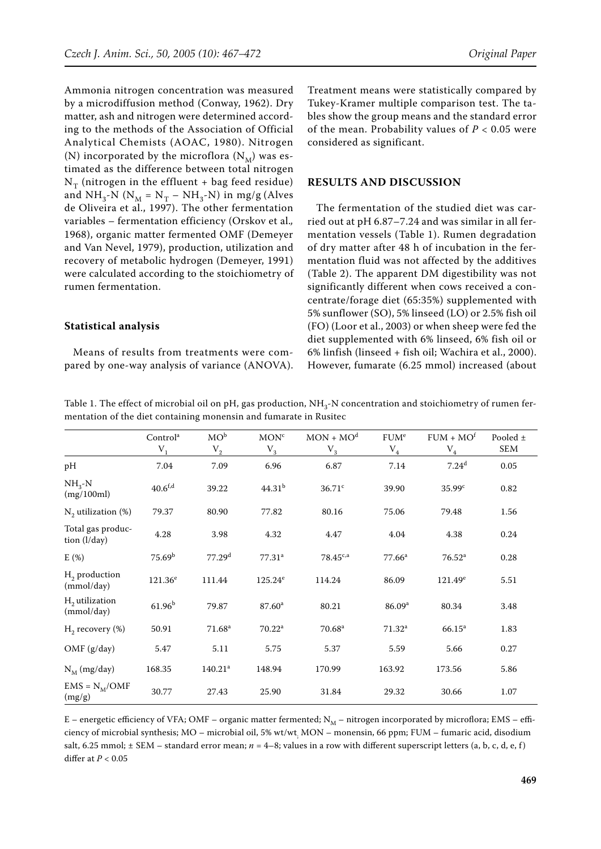Ammonia nitrogen concentration was measured by a microdiffusion method (Conway, 1962). Dry matter, ash and nitrogen were determined according to the methods of the Association of Official Analytical Chemists (AOAC, 1980). Nitrogen (N) incorporated by the microflora  $(N_M)$  was estimated as the difference between total nitrogen  $N_T$  (nitrogen in the effluent + bag feed residue) and  $NH_3-N$  ( $N_M = N_T - NH_3-N$ ) in mg/g (Alves de Oliveira et al., 1997). The other fermentation variables – fermentation efficiency (Orskov et al.*,*  1968), organic matter fermented OMF (Demeyer and Van Nevel, 1979), production, utilization and recovery of metabolic hydrogen (Demeyer, 1991) were calculated according to the stoichiometry of rumen fermentation.

## **Statistical analysis**

Means of results from treatments were compared by one-way analysis of variance (ANOVA). Treatment means were statistically compared by Tukey-Kramer multiple comparison test. The tables show the group means and the standard error of the mean. Probability values of  $P < 0.05$  were considered as significant.

## **RESULTS AND DISCUSSION**

The fermentation of the studied diet was carried out at pH 6.87–7.24 and was similar in all fermentation vessels (Table 1). Rumen degradation of dry matter after 48 h of incubation in the fermentation fluid was not affected by the additives (Table 2). The apparent DM digestibility was not significantly different when cows received a concentrate/forage diet (65:35%) supplemented with 5% sunflower (SO), 5% linseed (LO) or 2.5% fish oil (FO) (Loor et al., 2003) or when sheep were fed the diet supplemented with 6% linseed, 6% fish oil or 6% linfish (linseed + fish oil; Wachira et al., 2000). However, fumarate (6.25 mmol) increased (about

Table 1. The effect of microbial oil on pH, gas production, NH<sub>3</sub>-N concentration and stoichiometry of rumen fermentation of the diet containing monensin and fumarate in Rusitec

|                                   | Control <sup>a</sup><br>$V_{1}$ | $MO^b$<br>$V_2$     | MON <sup>c</sup><br>$V_3$ | $MON + MOd$<br>$\rm V_3$ | FUM <sup>e</sup><br>$\rm V_4$ | $FUM + MOf$<br>${\rm V}_4$ | Pooled $\pm$<br><b>SEM</b> |
|-----------------------------------|---------------------------------|---------------------|---------------------------|--------------------------|-------------------------------|----------------------------|----------------------------|
| pH                                | 7.04                            | 7.09                | 6.96                      | 6.87                     | 7.14                          | 7.24 <sup>d</sup>          | 0.05                       |
| $NH_{3}-N$<br>(mg/100ml)          | $40.6^{\text{f,d}}$             | 39.22               | 44.31 <sup>b</sup>        | $36.71$ c                | 39.90                         | 35.99 <sup>c</sup>         | 0.82                       |
| $N_2$ utilization (%)             | 79.37                           | 80.90               | 77.82                     | 80.16                    | 75.06                         | 79.48                      | 1.56                       |
| Total gas produc-<br>tion (l/day) | 4.28                            | 3.98                | 4.32                      | 4.47                     | 4.04                          | 4.38                       | 0.24                       |
| E(%)                              | 75.69 <sup>b</sup>              | 77.29 <sup>d</sup>  | 77.31 <sup>a</sup>        | $78.45^{c,a}$            | $77.66^a$                     | 76.52 <sup>a</sup>         | 0.28                       |
| $H2$ production<br>(mmol/day)     | $121.36^e$                      | 111.44              | $125.24^e$                | 114.24                   | 86.09                         | $121.49^e$                 | 5.51                       |
| $H2$ utilization<br>(mmol/day)    | $61.96^{b}$                     | 79.87               | 87.60 <sup>a</sup>        | 80.21                    | 86.09 <sup>a</sup>            | 80.34                      | 3.48                       |
| $H_2$ recovery $(\%)$             | 50.91                           | 71.68 <sup>a</sup>  | 70.22 <sup>a</sup>        | 70.68 <sup>a</sup>       | 71.32 <sup>a</sup>            | $66.15^{\rm a}$            | 1.83                       |
| OMF (g/day)                       | 5.47                            | 5.11                | 5.75                      | 5.37                     | 5.59                          | 5.66                       | 0.27                       |
| $N_M$ (mg/day)                    | 168.35                          | 140.21 <sup>a</sup> | 148.94                    | 170.99                   | 163.92                        | 173.56                     | 5.86                       |
| $EMS = N_M/OMF$<br>(mg/g)         | 30.77                           | 27.43               | 25.90                     | 31.84                    | 29.32                         | 30.66                      | 1.07                       |

E – energetic efficiency of VFA; OMF – organic matter fermented;  $N_M$  – nitrogen incorporated by microflora; EMS – efficiency of microbial synthesis; MO – microbial oil, 5% wt/wt<sub>;</sub> MON – monensin, 66 ppm; FUM – fumaric acid, disodium salt, 6.25 mmol;  $\pm$  SEM – standard error mean;  $n = 4-8$ ; values in a row with different superscript letters (a, b, c, d, e, f) differ at *P* < 0.05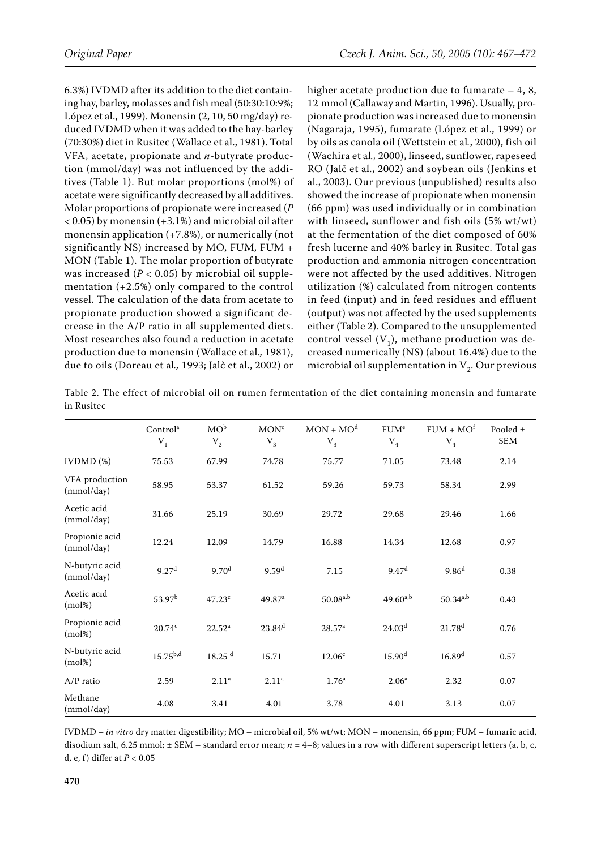6.3%) IVDMD after its addition to the diet containing hay, barley, molasses and fish meal (50:30:10:9%; López et al., 1999). Monensin (2, 10, 50 mg/day) reduced IVDMD when it was added to the hay-barley (70:30%) diet in Rusitec (Wallace et al., 1981). Total VFA, acetate, propionate and *n*-butyrate production (mmol/day) was not influenced by the additives (Table 1). But molar proportions (mol%) of acetate were significantly decreased by all additives. Molar proportions of propionate were increased (*P*  < 0.05) by monensin (+3.1%) and microbial oil after monensin application (+7.8%), or numerically (not significantly NS) increased by MO, FUM, FUM + MON (Table 1). The molar proportion of butyrate was increased  $(P < 0.05)$  by microbial oil supplementation (+2.5%) only compared to the control vessel. The calculation of the data from acetate to propionate production showed a significant decrease in the A/P ratio in all supplemented diets. Most researches also found a reduction in acetate production due to monensin (Wallace et al.*,* 1981), due to oils (Doreau et al*.,* 1993; Jalč et al., 2002) or higher acetate production due to fumarate  $-4$ , 8, 12 mmol (Callaway and Martin, 1996). Usually, propionate production was increased due to monensin (Nagaraja, 1995), fumarate (López et al., 1999) or by oils as canola oil (Wettstein et al*.*, 2000), fish oil (Wachira et al*.,* 2000), linseed, sunflower, rapeseed RO (Jalč et al., 2002) and soybean oils (Jenkins et al., 2003). Our previous (unpublished) results also showed the increase of propionate when monensin (66 ppm) was used individually or in combination with linseed, sunflower and fish oils (5% wt/wt) at the fermentation of the diet composed of 60% fresh lucerne and 40% barley in Rusitec. Total gas production and ammonia nitrogen concentration were not affected by the used additives. Nitrogen utilization (%) calculated from nitrogen contents in feed (input) and in feed residues and effluent (output) was not affected by the used supplements either (Table 2). Compared to the unsupplemented control vessel  $(V_1)$ , methane production was decreased numerically (NS) (about 16.4%) due to the microbial oil supplementation in  $V_2$ . Our previous

Table 2. The effect of microbial oil on rumen fermentation of the diet containing monensin and fumarate in Rusitec

|                              | Control <sup>a</sup><br>$\mathbf{V}_1$ | $MO^b$<br>$\rm V_2$  | MON <sup>c</sup><br>$\rm V_3$ | $MON + MOd$<br>${\rm V}_3$ | FUM <sup>e</sup><br>${\rm V}_4$ | $FUM + MOf$<br>${\rm V}_4$ | Pooled ±<br><b>SEM</b> |
|------------------------------|----------------------------------------|----------------------|-------------------------------|----------------------------|---------------------------------|----------------------------|------------------------|
| $IVDMD$ $%$                  | 75.53                                  | 67.99                | 74.78                         | 75.77                      | 71.05                           | 73.48                      | 2.14                   |
| VFA production<br>(mmol/day) | 58.95                                  | 53.37                | 61.52                         | 59.26                      | 59.73                           | 58.34                      | 2.99                   |
| Acetic acid<br>(mmol/day)    | 31.66                                  | 25.19                | 30.69                         | 29.72                      | 29.68                           | 29.46                      | 1.66                   |
| Propionic acid<br>(mmol/day) | 12.24                                  | 12.09                | 14.79                         | 16.88                      | 14.34                           | 12.68                      | 0.97                   |
| N-butyric acid<br>(mmol/day) | 9.27 <sup>d</sup>                      | 9.70 <sup>d</sup>    | 9.59 <sup>d</sup>             | 7.15                       | 9.47 <sup>d</sup>               | 9.86 <sup>d</sup>          | 0.38                   |
| Acetic acid<br>$(mol\%)$     | $53.97^{\rm b}$                        | 47.23c               | $49.87$ <sup>a</sup>          | $50.08^{a,b}$              | $49.60^{a,b}$                   | $50.34^{a,b}$              | 0.43                   |
| Propionic acid<br>$(mol\%)$  | 20.74c                                 | $22.52^a$            | $23.84^{d}$                   | 28.57 <sup>a</sup>         | 24.03 <sup>d</sup>              | $21.78^{d}$                | 0.76                   |
| N-butyric acid<br>$(mol\%)$  | $15.75^{b,d}$                          | $18.25$ <sup>d</sup> | 15.71                         | 12.06 <sup>c</sup>         | 15.90 <sup>d</sup>              | 16.89 <sup>d</sup>         | 0.57                   |
| $A/P$ ratio                  | 2.59                                   | 2.11 <sup>a</sup>    | 2.11 <sup>a</sup>             | 1.76 <sup>a</sup>          | 2.06 <sup>a</sup>               | 2.32                       | 0.07                   |
| Methane<br>(mmol/day)        | 4.08                                   | 3.41                 | 4.01                          | 3.78                       | 4.01                            | 3.13                       | 0.07                   |

IVDMD – *in vitro* dry matter digestibility; MO – microbial oil, 5% wt/wt; MON – monensin, 66 ppm; FUM – fumaric acid, disodium salt, 6.25 mmol;  $\pm$  SEM – standard error mean;  $n = 4-8$ ; values in a row with different superscript letters (a, b, c, d, e, f ) differ at *P* < 0.05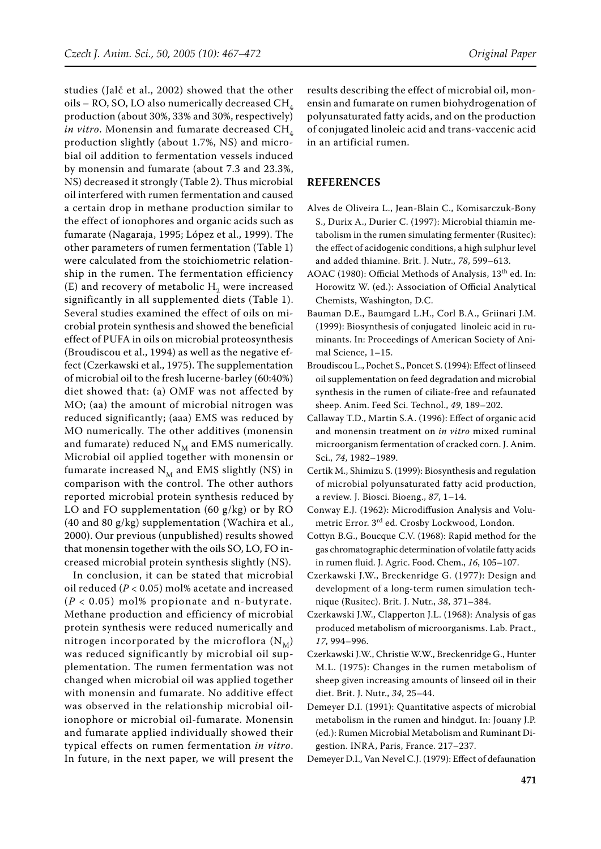studies (Jalč et al., 2002) showed that the other oils – RO, SO, LO also numerically decreased  $CH<sub>4</sub>$ production (about 30%, 33% and 30%, respectively) *in vitro*. Monensin and fumarate decreased CH<sub>4</sub> production slightly (about 1.7%, NS) and microbial oil addition to fermentation vessels induced by monensin and fumarate (about 7.3 and 23.3%, NS) decreased it strongly (Table 2). Thus microbial oil interfered with rumen fermentation and caused a certain drop in methane production similar to the effect of ionophores and organic acids such as fumarate (Nagaraja, 1995; López et al., 1999). The other parameters of rumen fermentation (Table 1) were calculated from the stoichiometric relationship in the rumen. The fermentation efficiency (E) and recovery of metabolic  $H<sub>2</sub>$  were increased significantly in all supplemented diets (Table 1). Several studies examined the effect of oils on microbial protein synthesis and showed the beneficial effect of PUFA in oils on microbial proteosynthesis (Broudiscou et al., 1994) as well as the negative effect (Czerkawski et al., 1975). The supplementation of microbial oil to the fresh lucerne-barley (60:40%) diet showed that: (a) OMF was not affected by MO; (aa) the amount of microbial nitrogen was reduced significantly; (aaa) EMS was reduced by MO numerically. The other additives (monensin and fumarate) reduced  $N_M$  and EMS numerically. Microbial oil applied together with monensin or fumarate increased  $N_M$  and EMS slightly (NS) in comparison with the control. The other authors reported microbial protein synthesis reduced by LO and FO supplementation (60 g/kg) or by RO (40 and 80 g/kg) supplementation (Wachira et al., 2000). Our previous (unpublished) results showed that monensin together with the oils SO, LO, FO increased microbial protein synthesis slightly (NS).

In conclusion, it can be stated that microbial oil reduced (*P* < 0.05) mol% acetate and increased (*P* < 0.05) mol% propionate and n-butyrate. Methane production and efficiency of microbial protein synthesis were reduced numerically and nitrogen incorporated by the microflora  $(N_M)$ was reduced significantly by microbial oil supplementation. The rumen fermentation was not changed when microbial oil was applied together with monensin and fumarate. No additive effect was observed in the relationship microbial oilionophore or microbial oil-fumarate. Monensin and fumarate applied individually showed their typical effects on rumen fermentation *in vitro*. In future, in the next paper, we will present the results describing the effect of microbial oil, monensin and fumarate on rumen biohydrogenation of polyunsaturated fatty acids, and on the production of conjugated linoleic acid and trans-vaccenic acid in an artificial rumen.

## **REFERENCES**

- Alves de Oliveira L., Jean-Blain C., Komisarczuk-Bony S., Durix A., Durier C. (1997): Microbial thiamin metabolism in the rumen simulating fermenter (Rusitec): the effect of acidogenic conditions, a high sulphur level and added thiamine. Brit. J. Nutr., *78*, 599–613.
- AOAC (1980): Official Methods of Analysis, 13th ed. In: Horowitz W. (ed.): Association of Official Analytical Chemists, Washington, D.C.
- Bauman D.E., Baumgard L.H., Corl B.A., Griinari J.M. (1999): Biosynthesis of conjugated linoleic acid in ruminants. In: Proceedings of American Society of Animal Science, 1–15.
- Broudiscou L., Pochet S., Poncet S. (1994): Effect of linseed oil supplementation on feed degradation and microbial synthesis in the rumen of ciliate-free and refaunated sheep. Anim. Feed Sci. Technol., *49*, 189–202.
- Callaway T.D., Martin S.A. (1996): Effect of organic acid and monensin treatment on *in vitro* mixed ruminal microorganism fermentation of cracked corn. J. Anim. Sci., *74*, 1982–1989.
- Certik M., Shimizu S. (1999): Biosynthesis and regulation of microbial polyunsaturated fatty acid production, a review. J. Biosci. Bioeng., *87*, 1–14.
- Conway E.J. (1962): Microdiffusion Analysis and Volumetric Error. 3rd ed. Crosby Lockwood, London.
- Cottyn B.G., Boucque C.V. (1968): Rapid method for the gas chromatographic determination of volatile fatty acids in rumen fluid. J. Agric. Food. Chem., *16*, 105–107.
- Czerkawski J.W., Breckenridge G. (1977): Design and development of a long-term rumen simulation technique (Rusitec). Brit. J. Nutr., *38*, 371–384.
- Czerkawski J.W., Clapperton J.L. (1968): Analysis of gas produced metabolism of microorganisms. Lab. Pract., *17*, 994–996.
- Czerkawski J.W., Christie W.W., Breckenridge G., Hunter M.L. (1975): Changes in the rumen metabolism of sheep given increasing amounts of linseed oil in their diet. Brit. J. Nutr., *34*, 25–44.
- Demeyer D.I. (1991): Quantitative aspects of microbial metabolism in the rumen and hindgut. In: Jouany J.P. (ed.): Rumen Microbial Metabolism and Ruminant Digestion. INRA, Paris, France. 217–237.
- Demeyer D.I., Van Nevel C.J. (1979): Effect of defaunation